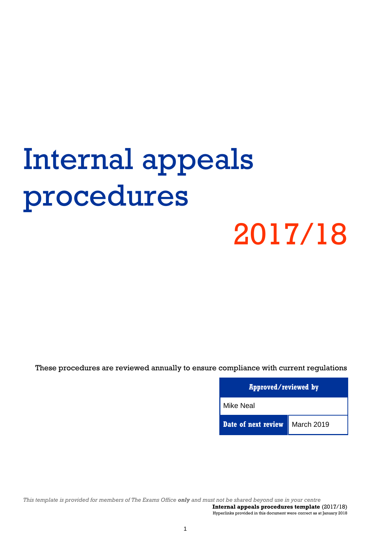# Internal appeals procedures

# 2017/18

These procedures are reviewed annually to ensure compliance with current regulations

**Approved/reviewed by** Mike Neal **Date of next review** March 2019

*This template is provided for members of The Exams Office only and must not be shared beyond use in your centre*  **Internal appeals procedures template** (2017/18)

Hyperlinks provided in this document were correct as at January 2018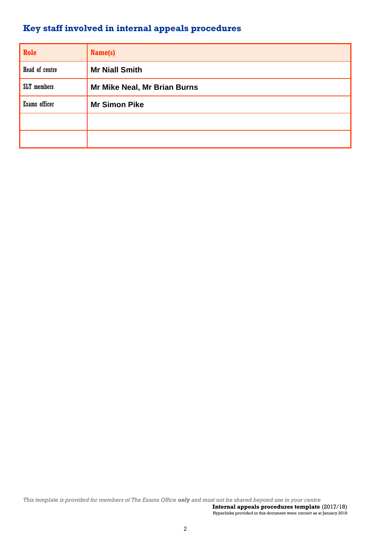# **Key staff involved in internal appeals procedures**

| Role           | Name(s)                      |
|----------------|------------------------------|
| Head of centre | <b>Mr Niall Smith</b>        |
| SLT members    | Mr Mike Neal, Mr Brian Burns |
| Exams officer  | <b>Mr Simon Pike</b>         |
|                |                              |
|                |                              |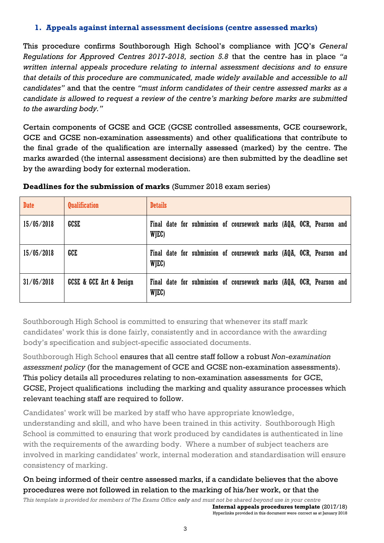#### **1. Appeals against internal assessment decisions (centre assessed marks)**

This procedure confirms Southborough High School's compliance with JCQ's *General Regulations for Approved Centres 2017-2018, section 5.8* that the centre has in place *"a written internal appeals procedure relating to internal assessment decisions and to ensure that details of this procedure are communicated, made widely available and accessible to all candidates"* and that the centre *"must inform candidates of their centre assessed marks as a candidate is allowed to request a review of the centre's marking before marks are submitted to the awarding body."*

Certain components of GCSE and GCE (GCSE controlled assessments, GCE coursework, GCE and GCSE non-examination assessments) and other qualifications that contribute to the final grade of the qualification are internally assessed (marked) by the centre. The marks awarded (the internal assessment decisions) are then submitted by the deadline set by the awarding body for external moderation.

| <b>Date</b> | <b>Qualification</b>                   | <b>Details</b>                                                                |
|-------------|----------------------------------------|-------------------------------------------------------------------------------|
| 15/05/2018  | GCSE                                   | Final date for submission of coursework marks (AQA, OCR, Pearson and<br>WJEC) |
| 15/05/2018  | GCE                                    | Final date for submission of coursework marks (AQA, OCR, Pearson and<br>WJEC) |
| 31/05/2018  | <b>GCSE &amp; GCE Art &amp; Design</b> | Final date for submission of coursework marks (AQA, OCR, Pearson and<br>WJEC) |

#### **Deadlines for the submission of marks** (Summer 2018 exam series)

Southborough High School is committed to ensuring that whenever its staff mark candidates' work this is done fairly, consistently and in accordance with the awarding body's specification and subject-specific associated documents.

Southborough High School ensures that all centre staff follow a robust *Non-examination assessment policy* (for the management of GCE and GCSE non-examination assessments). This policy details all procedures relating to non-examination assessments for GCE, GCSE, Project qualifications including the marking and quality assurance processes which relevant teaching staff are required to follow.

Candidates' work will be marked by staff who have appropriate knowledge, understanding and skill, and who have been trained in this activity. Southborough High School is committed to ensuring that work produced by candidates is authenticated in line with the requirements of the awarding body. Where a number of subject teachers are involved in marking candidates' work, internal moderation and standardisation will ensure consistency of marking.

## On being informed of their centre assessed marks, if a candidate believes that the above procedures were not followed in relation to the marking of his/her work, or that the

*This template is provided for members of The Exams Office only and must not be shared beyond use in your centre*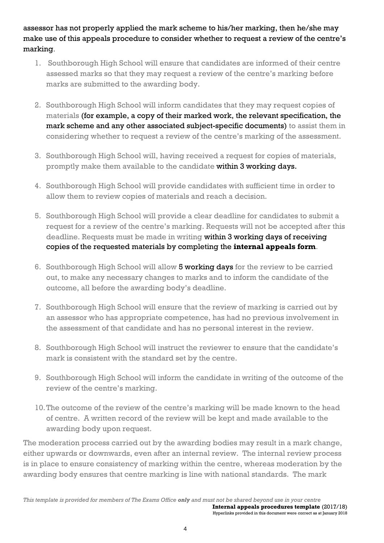assessor has not properly applied the mark scheme to his/her marking, then he/she may make use of this appeals procedure to consider whether to request a review of the centre's marking.

- 1. Southborough High School will ensure that candidates are informed of their centre assessed marks so that they may request a review of the centre's marking before marks are submitted to the awarding body.
- 2. Southborough High School will inform candidates that they may request copies of materials (for example, a copy of their marked work, the relevant specification, the mark scheme and any other associated subject-specific documents) to assist them in considering whether to request a review of the centre's marking of the assessment.
- 3. Southborough High School will, having received a request for copies of materials, promptly make them available to the candidate within 3 working days.
- 4. Southborough High School will provide candidates with sufficient time in order to allow them to review copies of materials and reach a decision.
- 5. Southborough High School will provide a clear deadline for candidates to submit a request for a review of the centre's marking. Requests will not be accepted after this deadline. Requests must be made in writing within 3 working days of receiving copies of the requested materials by completing the **internal appeals form**.
- 6. Southborough High School will allow 5 working days for the review to be carried out, to make any necessary changes to marks and to inform the candidate of the outcome, all before the awarding body's deadline.
- 7. Southborough High School will ensure that the review of marking is carried out by an assessor who has appropriate competence, has had no previous involvement in the assessment of that candidate and has no personal interest in the review.
- 8. Southborough High School will instruct the reviewer to ensure that the candidate's mark is consistent with the standard set by the centre.
- 9. Southborough High School will inform the candidate in writing of the outcome of the review of the centre's marking.
- 10.The outcome of the review of the centre's marking will be made known to the head of centre. A written record of the review will be kept and made available to the awarding body upon request.

The moderation process carried out by the awarding bodies may result in a mark change, either upwards or downwards, even after an internal review. The internal review process is in place to ensure consistency of marking within the centre, whereas moderation by the awarding body ensures that centre marking is line with national standards. The mark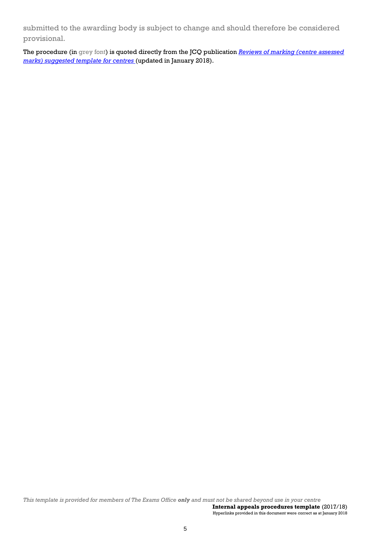submitted to the awarding body is subject to change and should therefore be considered provisional.

The procedure (in grey font) is quoted directly from the JCQ publication *[Reviews of marking \(centre assessed](http://www.jcq.org.uk/exams-office/controlled-assessments)  [marks\) suggested template for centres](http://www.jcq.org.uk/exams-office/controlled-assessments)* (updated in January 2018).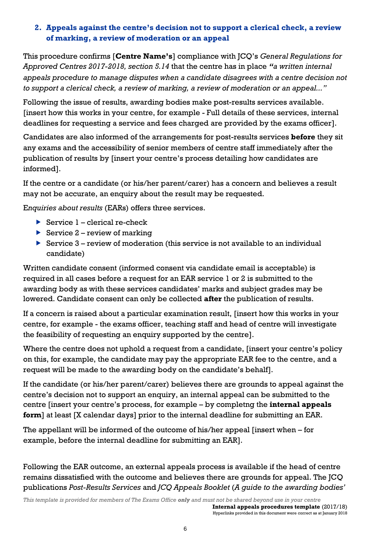### **2. Appeals against the centre's decision not to support a clerical check, a review of marking, a review of moderation or an appeal**

This procedure confirms [**Centre Name's**] compliance with JCQ's *General Regulations for Approved Centres 2017-2018, section 5.14* that the centre has in place *"a written internal appeals procedure to manage disputes when a candidate disagrees with a centre decision not to support a clerical check, a review of marking, a review of moderation or an appeal..."*

Following the issue of results, awarding bodies make post-results services available. [insert how this works in your centre, for example - Full details of these services, internal deadlines for requesting a service and fees charged are provided by the exams officer].

Candidates are also informed of the arrangements for post-results services **before** they sit any exams and the accessibility of senior members of centre staff immediately after the publication of results by [insert your centre's process detailing how candidates are informed].

If the centre or a candidate (or his/her parent/carer) has a concern and believes a result may not be accurate, an enquiry about the result may be requested.

E*nquiries about results* (EARs) offers three services.

- Service  $1$  clerical re-check
- Service  $2$  review of marking
- Service  $3$  review of moderation (this service is not available to an individual candidate)

Written candidate consent (informed consent via candidate email is acceptable) is required in all cases before a request for an EAR service 1 or 2 is submitted to the awarding body as with these services candidates' marks and subject grades may be lowered. Candidate consent can only be collected **after** the publication of results.

If a concern is raised about a particular examination result, [insert how this works in your centre, for example - the exams officer, teaching staff and head of centre will investigate the feasibility of requesting an enquiry supported by the centre].

Where the centre does not uphold a request from a candidate, [insert your centre's policy on this, for example, the candidate may pay the appropriate EAR fee to the centre, and a request will be made to the awarding body on the candidate's behalf].

If the candidate (or his/her parent/carer) believes there are grounds to appeal against the centre's decision not to support an enquiry, an internal appeal can be submitted to the centre [insert your centre's process, for example – by completng the **internal appeals form**] at least [X calendar days] prior to the internal deadline for submitting an EAR.

The appellant will be informed of the outcome of his/her appeal [insert when – for example, before the internal deadline for submitting an EAR].

Following the EAR outcome, an external appeals process is available if the head of centre remains dissatisfied with the outcome and believes there are grounds for appeal. The JCQ publications *Post-Results Services* and *JCQ Appeals Booklet* (*A guide to the awarding bodies'*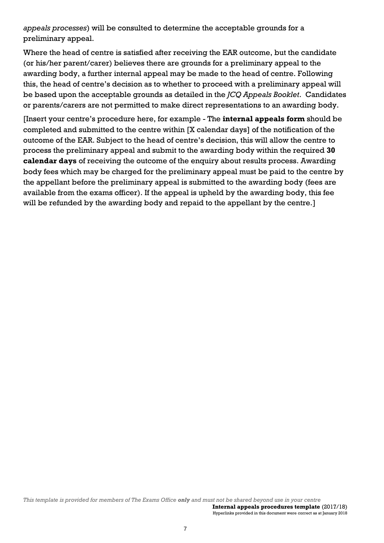*appeals processes*) will be consulted to determine the acceptable grounds for a preliminary appeal.

Where the head of centre is satisfied after receiving the EAR outcome, but the candidate (or his/her parent/carer) believes there are grounds for a preliminary appeal to the awarding body, a further internal appeal may be made to the head of centre. Following this, the head of centre's decision as to whether to proceed with a preliminary appeal will be based upon the acceptable grounds as detailed in the *JCQ Appeals Booklet*. Candidates or parents/carers are not permitted to make direct representations to an awarding body.

[Insert your centre's procedure here, for example - The **internal appeals form** should be completed and submitted to the centre within [X calendar days] of the notification of the outcome of the EAR. Subject to the head of centre's decision, this will allow the centre to process the preliminary appeal and submit to the awarding body within the required **30 calendar days** of receiving the outcome of the enquiry about results process. Awarding body fees which may be charged for the preliminary appeal must be paid to the centre by the appellant before the preliminary appeal is submitted to the awarding body (fees are available from the exams officer). If the appeal is upheld by the awarding body, this fee will be refunded by the awarding body and repaid to the appellant by the centre.]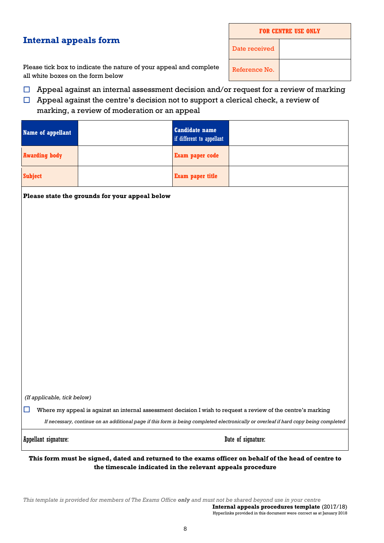# **Internal appeals form**

| <b>FOR CENTRE USE ONLY</b> |  |  |  |  |
|----------------------------|--|--|--|--|
| Date received              |  |  |  |  |
| Reference No.              |  |  |  |  |

Please tick box to indicate the nature of your appeal and complete all white boxes on the form below

- $\Box$  Appeal against an internal assessment decision and/or request for a review of marking
- $\Box$  Appeal against the centre's decision not to support a clerical check, a review of

#### marking, a review of moderation or an appeal

| Name of appellant    | <b>Candidate name</b><br>if different to appellant |  |
|----------------------|----------------------------------------------------|--|
| <b>Awarding body</b> | Exam paper code                                    |  |
| <b>Subject</b>       | <b>Exam paper title</b>                            |  |

**Please state the grounds for your appeal below**

*(If applicable, tick below)*

Where my appeal is against an internal assessment decision I wish to request a review of the centre's marking

*If necessary, continue on an additional page if this form is being completed electronically or overleaf if hard copy being completed*

Appellant signature:  $\qquad \qquad$  Date of signature:

**This form must be signed, dated and returned to the exams officer on behalf of the head of centre to the timescale indicated in the relevant appeals procedure**

*This template is provided for members of The Exams Office only and must not be shared beyond use in your centre*  **Internal appeals procedures template** (2017/18) Hyperlinks provided in this document were correct as at January 2018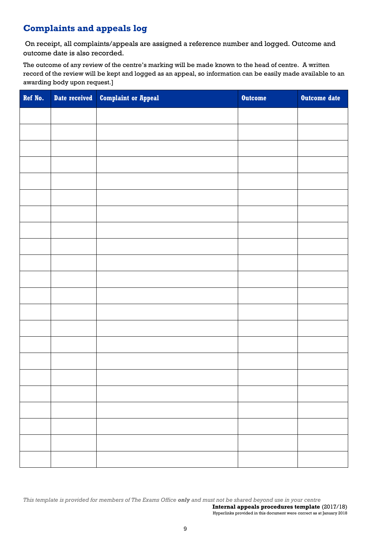# **Complaints and appeals log**

On receipt, all complaints/appeals are assigned a reference number and logged. Outcome and outcome date is also recorded.

The outcome of any review of the centre's marking will be made known to the head of centre. A written record of the review will be kept and logged as an appeal, so information can be easily made available to an awarding body upon request.]

| Ref No. | Date received Complaint or Appeal | <b>Outcome</b> | Outcome date |
|---------|-----------------------------------|----------------|--------------|
|         |                                   |                |              |
|         |                                   |                |              |
|         |                                   |                |              |
|         |                                   |                |              |
|         |                                   |                |              |
|         |                                   |                |              |
|         |                                   |                |              |
|         |                                   |                |              |
|         |                                   |                |              |
|         |                                   |                |              |
|         |                                   |                |              |
|         |                                   |                |              |
|         |                                   |                |              |
|         |                                   |                |              |
|         |                                   |                |              |
|         |                                   |                |              |
|         |                                   |                |              |
|         |                                   |                |              |
|         |                                   |                |              |
|         |                                   |                |              |
|         |                                   |                |              |
|         |                                   |                |              |

*This template is provided for members of The Exams Office only and must not be shared beyond use in your centre*